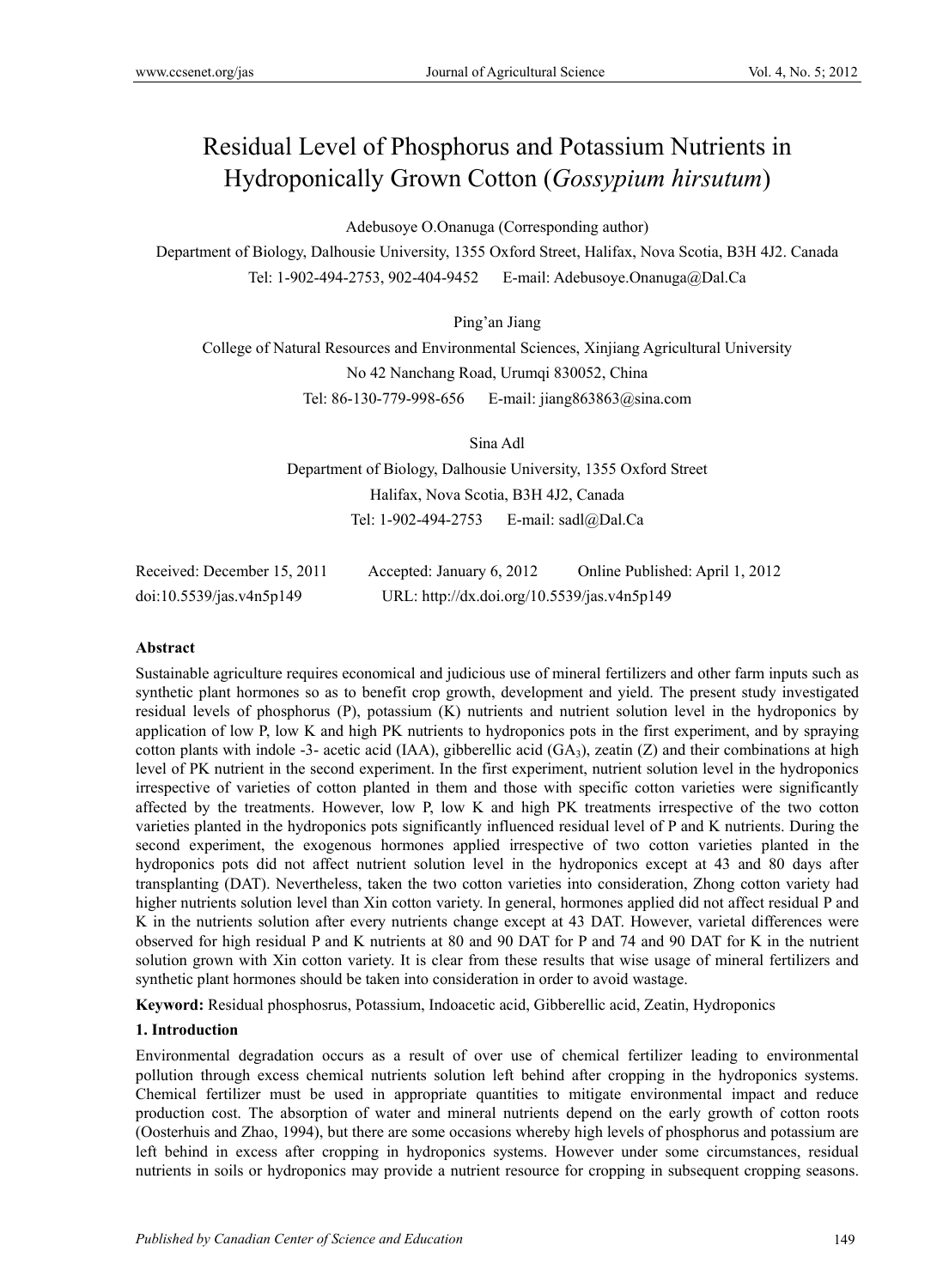# Residual Level of Phosphorus and Potassium Nutrients in Hydroponically Grown Cotton (*Gossypium hirsutum*)

Adebusoye O.Onanuga (Corresponding author)

Department of Biology, Dalhousie University, 1355 Oxford Street, Halifax, Nova Scotia, B3H 4J2. Canada Tel: 1-902-494-2753, 902-404-9452 E-mail: Adebusoye.Onanuga@Dal.Ca

Ping'an Jiang

College of Natural Resources and Environmental Sciences, Xinjiang Agricultural University No 42 Nanchang Road, Urumqi 830052, China Tel: 86-130-779-998-656 E-mail: jiang863863@sina.com

Sina Adl

Department of Biology, Dalhousie University, 1355 Oxford Street Halifax, Nova Scotia, B3H 4J2, Canada Tel: 1-902-494-2753 E-mail: sadl@Dal.Ca

| Received: December 15, 2011 | Accepted: January 6, 2012                   | Online Published: April 1, 2012 |
|-----------------------------|---------------------------------------------|---------------------------------|
| doi:10.5539/jas.v4n5p149    | URL: http://dx.doi.org/10.5539/jas.v4n5p149 |                                 |

#### **Abstract**

Sustainable agriculture requires economical and judicious use of mineral fertilizers and other farm inputs such as synthetic plant hormones so as to benefit crop growth, development and yield. The present study investigated residual levels of phosphorus (P), potassium (K) nutrients and nutrient solution level in the hydroponics by application of low P, low K and high PK nutrients to hydroponics pots in the first experiment, and by spraying cotton plants with indole -3- acetic acid (IAA), gibberellic acid (GA<sub>3</sub>), zeatin (Z) and their combinations at high level of PK nutrient in the second experiment. In the first experiment, nutrient solution level in the hydroponics irrespective of varieties of cotton planted in them and those with specific cotton varieties were significantly affected by the treatments. However, low P, low K and high PK treatments irrespective of the two cotton varieties planted in the hydroponics pots significantly influenced residual level of P and K nutrients. During the second experiment, the exogenous hormones applied irrespective of two cotton varieties planted in the hydroponics pots did not affect nutrient solution level in the hydroponics except at 43 and 80 days after transplanting (DAT). Nevertheless, taken the two cotton varieties into consideration, Zhong cotton variety had higher nutrients solution level than Xin cotton variety. In general, hormones applied did not affect residual P and K in the nutrients solution after every nutrients change except at 43 DAT. However, varietal differences were observed for high residual P and K nutrients at 80 and 90 DAT for P and 74 and 90 DAT for K in the nutrient solution grown with Xin cotton variety. It is clear from these results that wise usage of mineral fertilizers and synthetic plant hormones should be taken into consideration in order to avoid wastage.

**Keyword:** Residual phosphosrus, Potassium, Indoacetic acid, Gibberellic acid, Zeatin, Hydroponics

#### **1. Introduction**

Environmental degradation occurs as a result of over use of chemical fertilizer leading to environmental pollution through excess chemical nutrients solution left behind after cropping in the hydroponics systems. Chemical fertilizer must be used in appropriate quantities to mitigate environmental impact and reduce production cost. The absorption of water and mineral nutrients depend on the early growth of cotton roots (Oosterhuis and Zhao, 1994), but there are some occasions whereby high levels of phosphorus and potassium are left behind in excess after cropping in hydroponics systems. However under some circumstances, residual nutrients in soils or hydroponics may provide a nutrient resource for cropping in subsequent cropping seasons.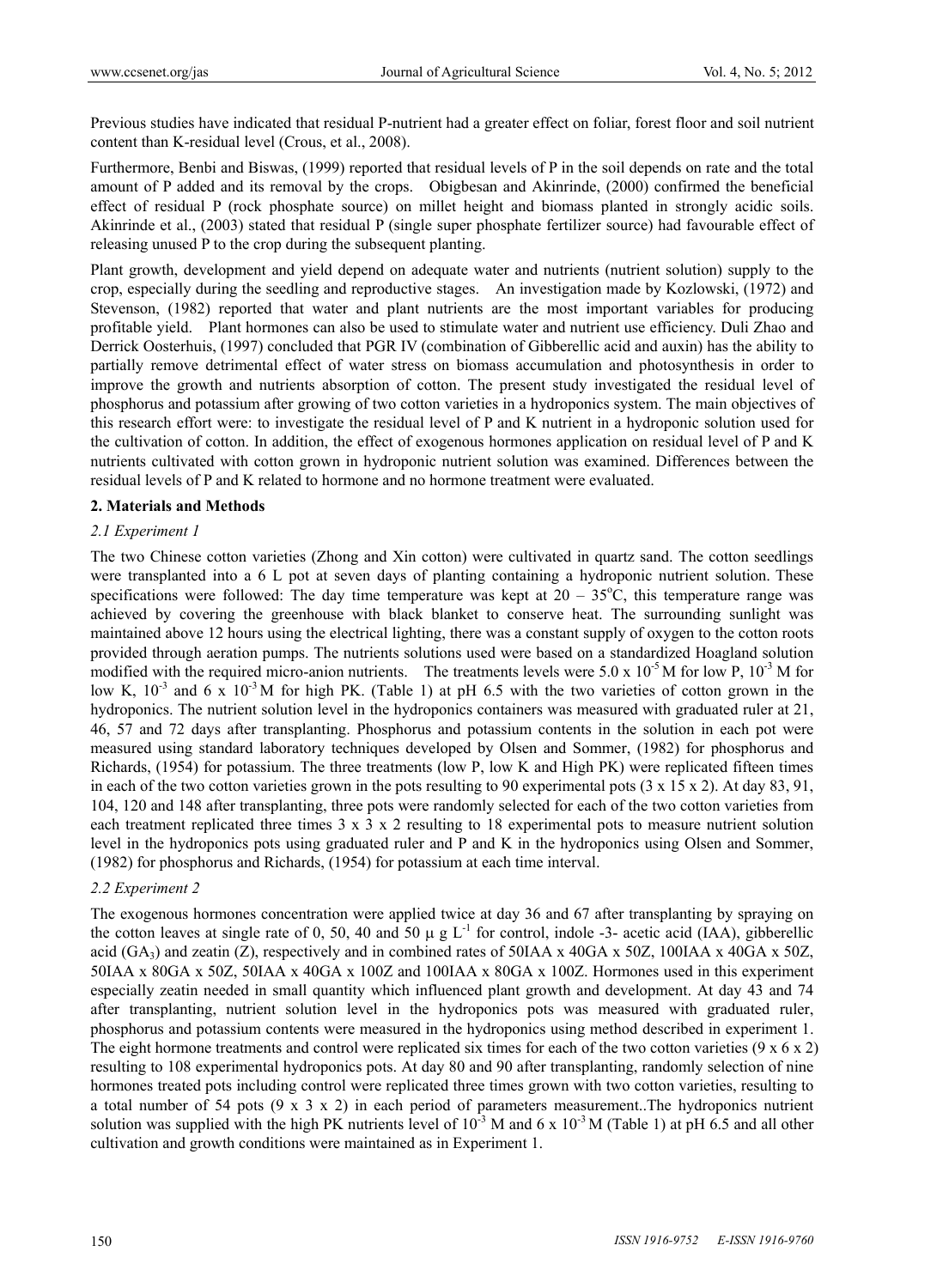Previous studies have indicated that residual P-nutrient had a greater effect on foliar, forest floor and soil nutrient content than K-residual level (Crous, et al., 2008).

Furthermore, Benbi and Biswas, (1999) reported that residual levels of P in the soil depends on rate and the total amount of P added and its removal by the crops. Obigbesan and Akinrinde, (2000) confirmed the beneficial effect of residual P (rock phosphate source) on millet height and biomass planted in strongly acidic soils. Akinrinde et al., (2003) stated that residual P (single super phosphate fertilizer source) had favourable effect of releasing unused P to the crop during the subsequent planting.

Plant growth, development and yield depend on adequate water and nutrients (nutrient solution) supply to the crop, especially during the seedling and reproductive stages. An investigation made by Kozlowski, (1972) and Stevenson, (1982) reported that water and plant nutrients are the most important variables for producing profitable yield. Plant hormones can also be used to stimulate water and nutrient use efficiency. Duli Zhao and Derrick Oosterhuis, (1997) concluded that PGR IV (combination of Gibberellic acid and auxin) has the ability to partially remove detrimental effect of water stress on biomass accumulation and photosynthesis in order to improve the growth and nutrients absorption of cotton. The present study investigated the residual level of phosphorus and potassium after growing of two cotton varieties in a hydroponics system. The main objectives of this research effort were: to investigate the residual level of P and K nutrient in a hydroponic solution used for the cultivation of cotton. In addition, the effect of exogenous hormones application on residual level of P and K nutrients cultivated with cotton grown in hydroponic nutrient solution was examined. Differences between the residual levels of P and K related to hormone and no hormone treatment were evaluated.

# **2. Materials and Methods**

#### *2.1 Experiment 1*

The two Chinese cotton varieties (Zhong and Xin cotton) were cultivated in quartz sand. The cotton seedlings were transplanted into a 6 L pot at seven days of planting containing a hydroponic nutrient solution. These specifications were followed: The day time temperature was kept at  $20 - 35^{\circ}\text{C}$ , this temperature range was achieved by covering the greenhouse with black blanket to conserve heat. The surrounding sunlight was maintained above 12 hours using the electrical lighting, there was a constant supply of oxygen to the cotton roots provided through aeration pumps. The nutrients solutions used were based on a standardized Hoagland solution modified with the required micro-anion nutrients. The treatments levels were 5.0 x  $10^{-5}$  M for low P,  $10^{-3}$  M for low K,  $10^{-3}$  and 6 x  $10^{-3}$ M for high PK. (Table 1) at pH 6.5 with the two varieties of cotton grown in the hydroponics. The nutrient solution level in the hydroponics containers was measured with graduated ruler at 21, 46, 57 and 72 days after transplanting. Phosphorus and potassium contents in the solution in each pot were measured using standard laboratory techniques developed by Olsen and Sommer, (1982) for phosphorus and Richards, (1954) for potassium. The three treatments (low P, low K and High PK) were replicated fifteen times in each of the two cotton varieties grown in the pots resulting to 90 experimental pots (3 x 15 x 2). At day 83, 91, 104, 120 and 148 after transplanting, three pots were randomly selected for each of the two cotton varieties from each treatment replicated three times 3 x 3 x 2 resulting to 18 experimental pots to measure nutrient solution level in the hydroponics pots using graduated ruler and P and K in the hydroponics using Olsen and Sommer, (1982) for phosphorus and Richards, (1954) for potassium at each time interval.

#### *2.2 Experiment 2*

The exogenous hormones concentration were applied twice at day 36 and 67 after transplanting by spraying on the cotton leaves at single rate of 0, 50, 40 and 50  $\mu$  g L<sup>-1</sup> for control, indole -3- acetic acid (IAA), gibberellic acid (GA<sub>3</sub>) and zeatin (Z), respectively and in combined rates of 50IAA x 40GA x 50Z, 100IAA x 40GA x 50Z, 50IAA x 80GA x 50Z, 50IAA x 40GA x 100Z and 100IAA x 80GA x 100Z. Hormones used in this experiment especially zeatin needed in small quantity which influenced plant growth and development. At day 43 and 74 after transplanting, nutrient solution level in the hydroponics pots was measured with graduated ruler, phosphorus and potassium contents were measured in the hydroponics using method described in experiment 1. The eight hormone treatments and control were replicated six times for each of the two cotton varieties  $(9 \times 6 \times 2)$ resulting to 108 experimental hydroponics pots. At day 80 and 90 after transplanting, randomly selection of nine hormones treated pots including control were replicated three times grown with two cotton varieties, resulting to a total number of 54 pots (9 x 3 x 2) in each period of parameters measurement..The hydroponics nutrient solution was supplied with the high PK nutrients level of  $10^{-3}$  M and 6 x  $10^{-3}$  M (Table 1) at pH 6.5 and all other cultivation and growth conditions were maintained as in Experiment 1.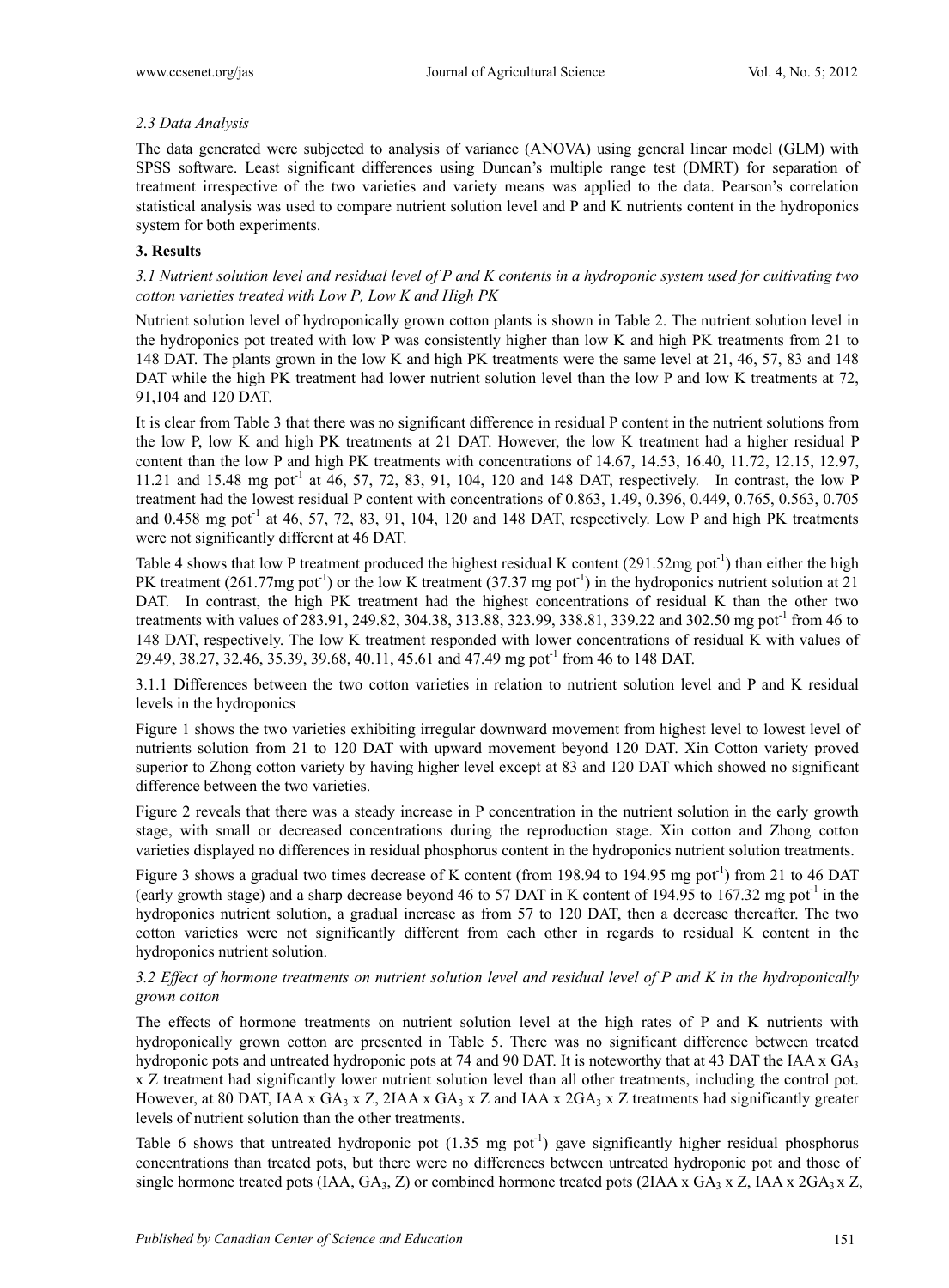# *2.3 Data Analysis*

The data generated were subjected to analysis of variance (ANOVA) using general linear model (GLM) with SPSS software. Least significant differences using Duncan's multiple range test (DMRT) for separation of treatment irrespective of the two varieties and variety means was applied to the data. Pearson's correlation statistical analysis was used to compare nutrient solution level and P and K nutrients content in the hydroponics system for both experiments.

# **3. Results**

*3.1 Nutrient solution level and residual level of P and K contents in a hydroponic system used for cultivating two cotton varieties treated with Low P, Low K and High PK* 

Nutrient solution level of hydroponically grown cotton plants is shown in Table 2. The nutrient solution level in the hydroponics pot treated with low P was consistently higher than low K and high PK treatments from 21 to 148 DAT. The plants grown in the low K and high PK treatments were the same level at 21, 46, 57, 83 and 148 DAT while the high PK treatment had lower nutrient solution level than the low P and low K treatments at 72, 91,104 and 120 DAT.

It is clear from Table 3 that there was no significant difference in residual P content in the nutrient solutions from the low P, low K and high PK treatments at 21 DAT. However, the low K treatment had a higher residual P content than the low P and high PK treatments with concentrations of 14.67, 14.53, 16.40, 11.72, 12.15, 12.97, 11.21 and 15.48 mg pot<sup>-1</sup> at 46, 57, 72, 83, 91, 104, 120 and 148 DAT, respectively. In contrast, the low P treatment had the lowest residual P content with concentrations of 0.863, 1.49, 0.396, 0.449, 0.765, 0.563, 0.705 and  $0.458$  mg pot<sup>-1</sup> at 46, 57, 72, 83, 91, 104, 120 and 148 DAT, respectively. Low P and high PK treatments were not significantly different at 46 DAT.

Table 4 shows that low P treatment produced the highest residual K content  $(291.52mg)$  pot<sup>-1</sup>) than either the high PK treatment (261.77mg pot<sup>-1</sup>) or the low K treatment (37.37 mg pot<sup>-1</sup>) in the hydroponics nutrient solution at 21 DAT. In contrast, the high PK treatment had the highest concentrations of residual K than the other two treatments with values of 283.91, 249.82, 304.38, 313.88, 323.99, 338.81, 339.22 and 302.50 mg pot<sup>-1</sup> from 46 to 148 DAT, respectively. The low K treatment responded with lower concentrations of residual K with values of 29.49, 38.27, 32.46, 35.39, 39.68, 40.11, 45.61 and 47.49 mg pot-1 from 46 to 148 DAT.

3.1.1 Differences between the two cotton varieties in relation to nutrient solution level and P and K residual levels in the hydroponics

Figure 1 shows the two varieties exhibiting irregular downward movement from highest level to lowest level of nutrients solution from 21 to 120 DAT with upward movement beyond 120 DAT. Xin Cotton variety proved superior to Zhong cotton variety by having higher level except at 83 and 120 DAT which showed no significant difference between the two varieties.

Figure 2 reveals that there was a steady increase in P concentration in the nutrient solution in the early growth stage, with small or decreased concentrations during the reproduction stage. Xin cotton and Zhong cotton varieties displayed no differences in residual phosphorus content in the hydroponics nutrient solution treatments.

Figure 3 shows a gradual two times decrease of K content (from 198.94 to 194.95 mg pot<sup>-1</sup>) from 21 to 46 DAT (early growth stage) and a sharp decrease beyond 46 to 57 DAT in K content of 194.95 to 167.32 mg pot<sup>-1</sup> in the hydroponics nutrient solution, a gradual increase as from 57 to 120 DAT, then a decrease thereafter. The two cotton varieties were not significantly different from each other in regards to residual K content in the hydroponics nutrient solution.

# *3.2 Effect of hormone treatments on nutrient solution level and residual level of P and K in the hydroponically grown cotton*

The effects of hormone treatments on nutrient solution level at the high rates of P and K nutrients with hydroponically grown cotton are presented in Table 5. There was no significant difference between treated hydroponic pots and untreated hydroponic pots at 74 and 90 DAT. It is noteworthy that at 43 DAT the IAA x  $GA_3$ x Z treatment had significantly lower nutrient solution level than all other treatments, including the control pot. However, at 80 DAT, IAA x GA<sub>3</sub> x Z, 2IAA x GA<sub>3</sub> x Z and IAA x 2GA<sub>3</sub> x Z treatments had significantly greater levels of nutrient solution than the other treatments.

Table 6 shows that untreated hydroponic pot  $(1.35 \text{ mg pot}^1)$  gave significantly higher residual phosphorus concentrations than treated pots, but there were no differences between untreated hydroponic pot and those of single hormone treated pots (IAA,  $GA_3$ , Z) or combined hormone treated pots (2IAA x  $GA_3$  x Z, IAA x  $2GA_3$ x Z,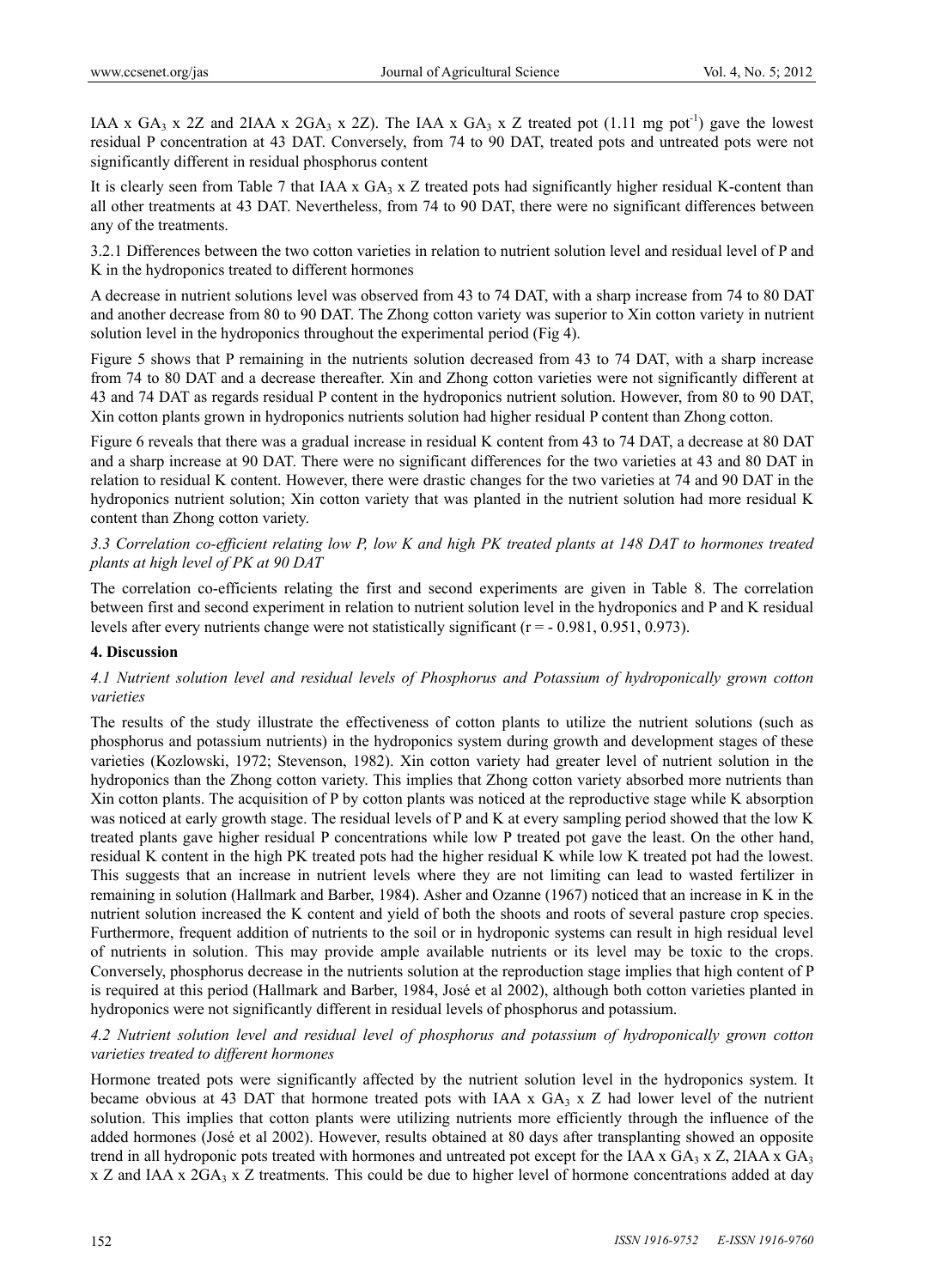IAA x  $GA_3$  x 2Z and 2IAA x 2GA<sub>3</sub> x 2Z). The IAA x  $GA_3$  x Z treated pot (1.11 mg pot<sup>-1</sup>) gave the lowest residual P concentration at 43 DAT. Conversely, from 74 to 90 DAT, treated pots and untreated pots were not significantly different in residual phosphorus content

It is clearly seen from Table 7 that IAA x  $GA_3$  x Z treated pots had significantly higher residual K-content than all other treatments at 43 DAT. Nevertheless, from 74 to 90 DAT, there were no significant differences between any of the treatments.

3.2.1 Differences between the two cotton varieties in relation to nutrient solution level and residual level of P and K in the hydroponics treated to different hormones

A decrease in nutrient solutions level was observed from 43 to 74 DAT, with a sharp increase from 74 to 80 DAT and another decrease from 80 to 90 DAT. The Zhong cotton variety was superior to Xin cotton variety in nutrient solution level in the hydroponics throughout the experimental period (Fig 4).

Figure 5 shows that P remaining in the nutrients solution decreased from 43 to 74 DAT, with a sharp increase from 74 to 80 DAT and a decrease thereafter. Xin and Zhong cotton varieties were not significantly different at 43 and 74 DAT as regards residual P content in the hydroponics nutrient solution. However, from 80 to 90 DAT, Xin cotton plants grown in hydroponics nutrients solution had higher residual P content than Zhong cotton.

Figure 6 reveals that there was a gradual increase in residual K content from 43 to 74 DAT, a decrease at 80 DAT and a sharp increase at 90 DAT. There were no significant differences for the two varieties at 43 and 80 DAT in relation to residual K content. However, there were drastic changes for the two varieties at 74 and 90 DAT in the hydroponics nutrient solution; Xin cotton variety that was planted in the nutrient solution had more residual K content than Zhong cotton variety.

# *3.3 Correlation co-efficient relating low P, low K and high PK treated plants at 148 DAT to hormones treated plants at high level of PK at 90 DAT*

The correlation co-efficients relating the first and second experiments are given in Table 8. The correlation between first and second experiment in relation to nutrient solution level in the hydroponics and P and K residual levels after every nutrients change were not statistically significant ( $r = -0.981, 0.951, 0.973$ ).

## **4. Discussion**

# *4.1 Nutrient solution level and residual levels of Phosphorus and Potassium of hydroponically grown cotton varieties*

The results of the study illustrate the effectiveness of cotton plants to utilize the nutrient solutions (such as phosphorus and potassium nutrients) in the hydroponics system during growth and development stages of these varieties (Kozlowski, 1972; Stevenson, 1982). Xin cotton variety had greater level of nutrient solution in the hydroponics than the Zhong cotton variety. This implies that Zhong cotton variety absorbed more nutrients than Xin cotton plants. The acquisition of P by cotton plants was noticed at the reproductive stage while K absorption was noticed at early growth stage. The residual levels of P and K at every sampling period showed that the low K treated plants gave higher residual P concentrations while low P treated pot gave the least. On the other hand, residual K content in the high PK treated pots had the higher residual K while low K treated pot had the lowest. This suggests that an increase in nutrient levels where they are not limiting can lead to wasted fertilizer in remaining in solution (Hallmark and Barber, 1984). Asher and Ozanne (1967) noticed that an increase in K in the nutrient solution increased the K content and yield of both the shoots and roots of several pasture crop species. Furthermore, frequent addition of nutrients to the soil or in hydroponic systems can result in high residual level of nutrients in solution. This may provide ample available nutrients or its level may be toxic to the crops. Conversely, phosphorus decrease in the nutrients solution at the reproduction stage implies that high content of P is required at this period (Hallmark and Barber, 1984, José et al 2002), although both cotton varieties planted in hydroponics were not significantly different in residual levels of phosphorus and potassium.

# *4.2 Nutrient solution level and residual level of phosphorus and potassium of hydroponically grown cotton varieties treated to different hormones*

Hormone treated pots were significantly affected by the nutrient solution level in the hydroponics system. It became obvious at 43 DAT that hormone treated pots with IAA x  $GA_3$  x Z had lower level of the nutrient solution. This implies that cotton plants were utilizing nutrients more efficiently through the influence of the added hormones (José et al 2002). However, results obtained at 80 days after transplanting showed an opposite trend in all hydroponic pots treated with hormones and untreated pot except for the IAA x  $GA_3 \times Z$ , 2IAA  $\times GA_3$ x Z and IAA x  $2GA_3$  x Z treatments. This could be due to higher level of hormone concentrations added at day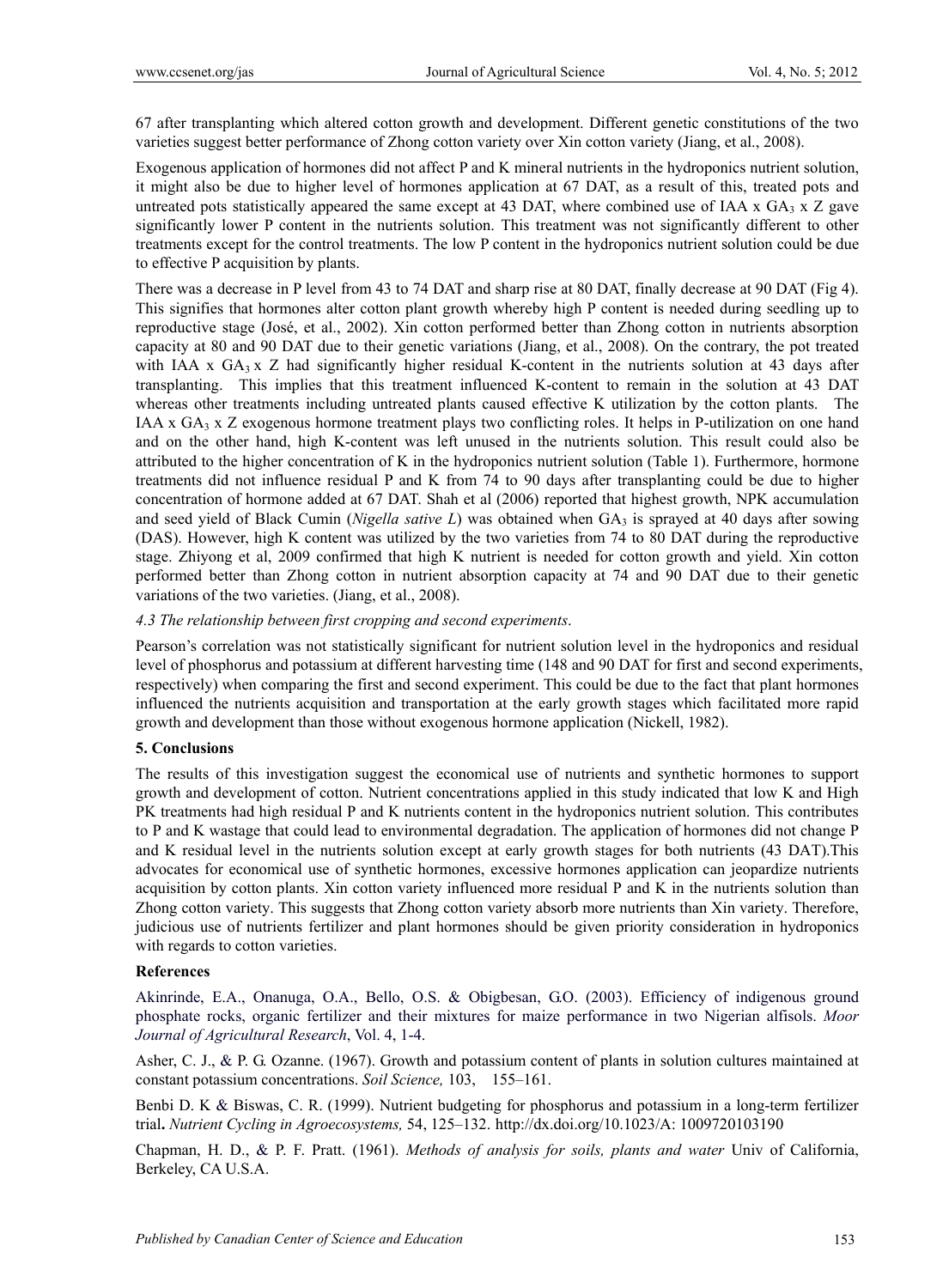67 after transplanting which altered cotton growth and development. Different genetic constitutions of the two varieties suggest better performance of Zhong cotton variety over Xin cotton variety (Jiang, et al., 2008).

Exogenous application of hormones did not affect P and K mineral nutrients in the hydroponics nutrient solution, it might also be due to higher level of hormones application at 67 DAT, as a result of this, treated pots and untreated pots statistically appeared the same except at 43 DAT, where combined use of IAA  $x$  GA<sub>3</sub>  $x$  Z gave significantly lower P content in the nutrients solution. This treatment was not significantly different to other treatments except for the control treatments. The low P content in the hydroponics nutrient solution could be due to effective P acquisition by plants.

There was a decrease in P level from 43 to 74 DAT and sharp rise at 80 DAT, finally decrease at 90 DAT (Fig 4). This signifies that hormones alter cotton plant growth whereby high P content is needed during seedling up to reproductive stage (José, et al., 2002). Xin cotton performed better than Zhong cotton in nutrients absorption capacity at 80 and 90 DAT due to their genetic variations (Jiang, et al., 2008). On the contrary, the pot treated with IAA x  $GA_3$  x Z had significantly higher residual K-content in the nutrients solution at 43 days after transplanting. This implies that this treatment influenced K-content to remain in the solution at 43 DAT whereas other treatments including untreated plants caused effective K utilization by the cotton plants. The IAA x  $GA_3$  x Z exogenous hormone treatment plays two conflicting roles. It helps in P-utilization on one hand and on the other hand, high K-content was left unused in the nutrients solution. This result could also be attributed to the higher concentration of K in the hydroponics nutrient solution (Table 1). Furthermore, hormone treatments did not influence residual P and K from 74 to 90 days after transplanting could be due to higher concentration of hormone added at 67 DAT. Shah et al (2006) reported that highest growth, NPK accumulation and seed yield of Black Cumin (*Nigella sative L*) was obtained when GA<sub>3</sub> is sprayed at 40 days after sowing (DAS). However, high K content was utilized by the two varieties from 74 to 80 DAT during the reproductive stage. Zhiyong et al, 2009 confirmed that high K nutrient is needed for cotton growth and yield. Xin cotton performed better than Zhong cotton in nutrient absorption capacity at 74 and 90 DAT due to their genetic variations of the two varieties. (Jiang, et al., 2008).

# *4.3 The relationship between first cropping and second experiments*.

Pearson's correlation was not statistically significant for nutrient solution level in the hydroponics and residual level of phosphorus and potassium at different harvesting time (148 and 90 DAT for first and second experiments, respectively) when comparing the first and second experiment. This could be due to the fact that plant hormones influenced the nutrients acquisition and transportation at the early growth stages which facilitated more rapid growth and development than those without exogenous hormone application (Nickell, 1982).

#### **5. Conclusions**

The results of this investigation suggest the economical use of nutrients and synthetic hormones to support growth and development of cotton. Nutrient concentrations applied in this study indicated that low K and High PK treatments had high residual P and K nutrients content in the hydroponics nutrient solution. This contributes to P and K wastage that could lead to environmental degradation. The application of hormones did not change P and K residual level in the nutrients solution except at early growth stages for both nutrients (43 DAT).This advocates for economical use of synthetic hormones, excessive hormones application can jeopardize nutrients acquisition by cotton plants. Xin cotton variety influenced more residual P and K in the nutrients solution than Zhong cotton variety. This suggests that Zhong cotton variety absorb more nutrients than Xin variety. Therefore, judicious use of nutrients fertilizer and plant hormones should be given priority consideration in hydroponics with regards to cotton varieties.

#### **References**

Akinrinde, E.A., Onanuga, O.A., Bello, O.S. & Obigbesan, G.O. (2003). Efficiency of indigenous ground phosphate rocks, organic fertilizer and their mixtures for maize performance in two Nigerian alfisols. *Moor Journal of Agricultural Research*, Vol. 4, 1-4.

Asher, C. J., & P. G. Ozanne. (1967). Growth and potassium content of plants in solution cultures maintained at constant potassium concentrations. *Soil Science,* 103, 155–161.

Benbi D. K & Biswas, C. R. (1999). Nutrient budgeting for phosphorus and potassium in a long-term fertilizer trial**.** *Nutrient Cycling in Agroecosystems,* 54, 125–132. http://dx.doi.org/10.1023/A: 1009720103190

Chapman, H. D., & P. F. Pratt. (1961). *Methods of analysis for soils, plants and water* Univ of California, Berkeley, CA U.S.A.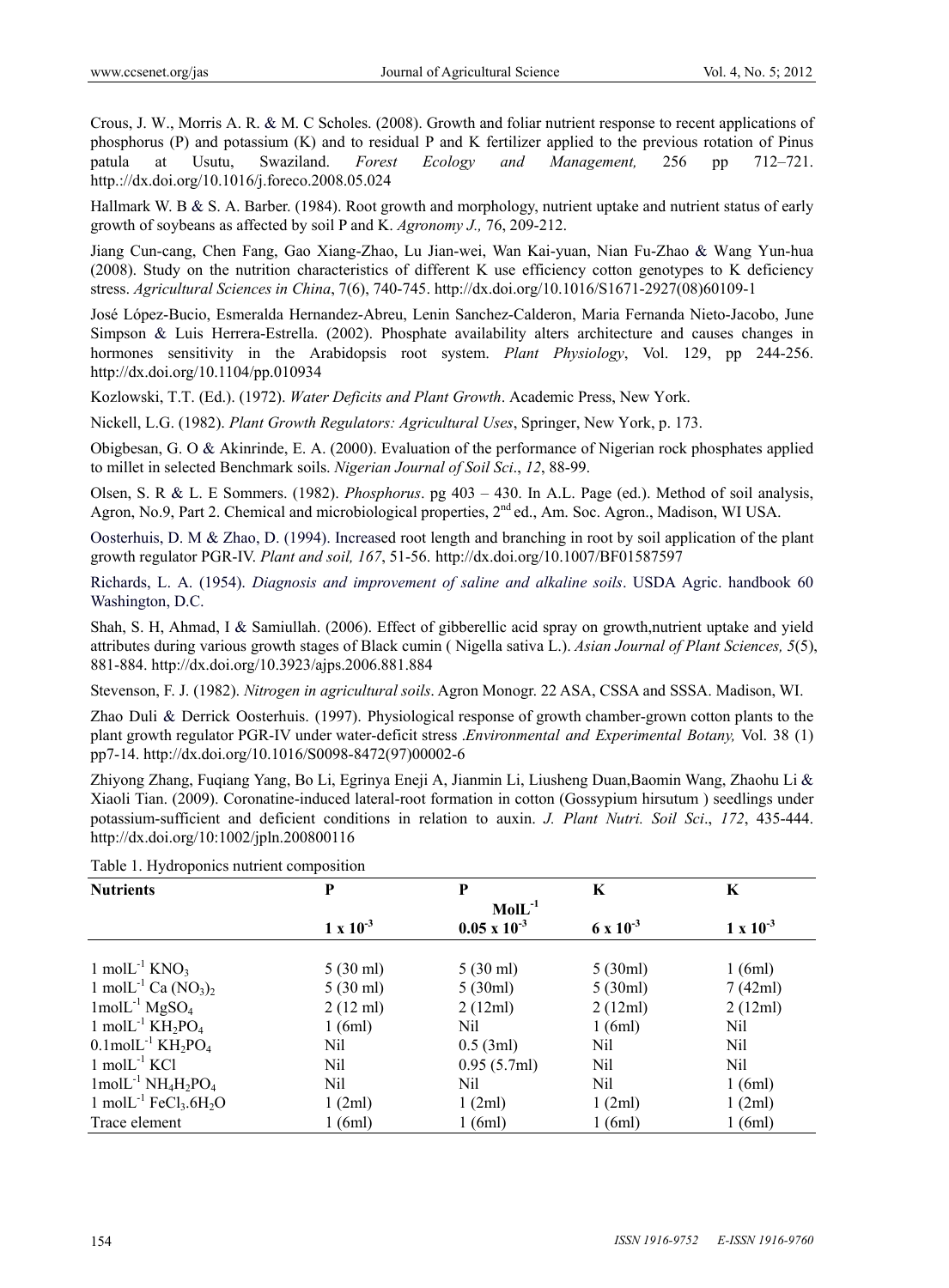Crous, J. W., Morris A. R. & M. C Scholes. (2008). Growth and foliar nutrient response to recent applications of phosphorus (P) and potassium (K) and to residual P and K fertilizer applied to the previous rotation of Pinus patula at Usutu, Swaziland. *Forest Ecology and Management,* 256 pp 712–721. http.://dx.doi.org/10.1016/j.foreco.2008.05.024

Hallmark W. B & S. A. Barber. (1984). Root growth and morphology, nutrient uptake and nutrient status of early growth of soybeans as affected by soil P and K. *Agronomy J.,* 76, 209-212.

Jiang Cun-cang, Chen Fang, Gao Xiang-Zhao, Lu Jian-wei, Wan Kai-yuan, Nian Fu-Zhao & Wang Yun-hua (2008). Study on the nutrition characteristics of different K use efficiency cotton genotypes to K deficiency stress. *Agricultural Sciences in China*, 7(6), 740-745. http://dx.doi.org/10.1016/S1671-2927(08)60109-1

José López-Bucio, Esmeralda Hernandez-Abreu, Lenin Sanchez-Calderon, Maria Fernanda Nieto-Jacobo, June Simpson & Luis Herrera-Estrella. (2002). Phosphate availability alters architecture and causes changes in hormones sensitivity in the Arabidopsis root system. *Plant Physiology*, Vol. 129, pp 244-256. http://dx.doi.org/10.1104/pp.010934

Kozlowski, T.T. (Ed.). (1972). *Water Deficits and Plant Growth*. Academic Press, New York.

Nickell, L.G. (1982). *Plant Growth Regulators: Agricultural Uses*, Springer, New York, p. 173.

Obigbesan, G. O & Akinrinde, E. A. (2000). Evaluation of the performance of Nigerian rock phosphates applied to millet in selected Benchmark soils. *Nigerian Journal of Soil Sci*., *12*, 88-99.

Olsen, S. R & L. E Sommers. (1982). *Phosphorus*. pg 403 – 430. In A.L. Page (ed.). Method of soil analysis, Agron, No.9, Part 2. Chemical and microbiological properties, 2<sup>nd</sup> ed., Am. Soc. Agron., Madison, WI USA.

Oosterhuis, D. M & Zhao, D. (1994). Increased root length and branching in root by soil application of the plant growth regulator PGR-IV. *Plant and soil, 167*, 51-56. http://dx.doi.org/10.1007/BF01587597

Richards, L. A. (1954). *Diagnosis and improvement of saline and alkaline soils*. USDA Agric. handbook 60 Washington, D.C.

Shah, S. H, Ahmad, I & Samiullah. (2006). Effect of gibberellic acid spray on growth,nutrient uptake and yield attributes during various growth stages of Black cumin ( Nigella sativa L.). *Asian Journal of Plant Sciences, 5*(5), 881-884. http://dx.doi.org/10.3923/ajps.2006.881.884

Stevenson, F. J. (1982). *Nitrogen in agricultural soils*. Agron Monogr. 22 ASA, CSSA and SSSA. Madison, WI.

Zhao Duli & Derrick Oosterhuis. (1997). Physiological response of growth chamber-grown cotton plants to the plant growth regulator PGR-IV under water-deficit stress .*Environmental and Experimental Botany,* Vol. 38 (1) pp7-14. http://dx.doi.org/10.1016/S0098-8472(97)00002-6

Zhiyong Zhang, Fuqiang Yang, Bo Li, Egrinya Eneji A, Jianmin Li, Liusheng Duan,Baomin Wang, Zhaohu Li & Xiaoli Tian. (2009). Coronatine-induced lateral-root formation in cotton (Gossypium hirsutum ) seedlings under potassium-sufficient and deficient conditions in relation to auxin. *J. Plant Nutri. Soil Sci*., *172*, 435-444. http://dx.doi.org/10:1002/jpln.200800116

| <b>Nutrients</b>                                              | P                  | P                     | K                  | K                  |
|---------------------------------------------------------------|--------------------|-----------------------|--------------------|--------------------|
|                                                               |                    | $MolL^{-1}$           |                    |                    |
|                                                               | $1 \times 10^{-3}$ | $0.05 \times 10^{-3}$ | $6 \times 10^{-3}$ | $1 \times 10^{-3}$ |
|                                                               |                    |                       |                    |                    |
| 1 mol $L^{-1}$ KNO <sub>3</sub>                               | $5(30 \text{ ml})$ | $5(30 \text{ ml})$    | 5(30ml)            | 1(6ml)             |
| 1 mol $L^{-1}$ Ca $(NO_3)_2$                                  | $5(30 \text{ ml})$ | 5(30ml)               | 5(30ml)            | 7(42ml)            |
| $1$ mol $L^{-1}$ MgSO <sub>4</sub>                            | $2(12 \text{ ml})$ | 2(12ml)               | 2(12ml)            | 2(12ml)            |
| 1 mol $L^{-1}$ KH <sub>2</sub> PO <sub>4</sub>                | 1(6ml)             | Nil                   | 1(6ml)             | Nil                |
| $0.1$ mol $L^{-1}$ KH <sub>2</sub> PO <sub>4</sub>            | Nil                | $0.5$ (3ml)           | Nil                | Nil                |
| $1 \text{ mol}$ L <sup>-1</sup> KCl                           | Nil                | 0.95(5.7ml)           | Nil                | Nil                |
| $1 \text{mol} \text{L}^{-1} \text{NH}_4\text{H}_2\text{PO}_4$ | Nil                | Nil                   | Nil                | 1(6ml)             |
| 1 mol $L^{-1}$ FeCl <sub>3</sub> .6H <sub>2</sub> O           | 1(2ml)             | 1(2ml)                | 1(2ml)             | 1(2ml)             |
| Trace element                                                 | 1(6ml)             | 1(6ml)                | 1(6ml)             | 1(6ml)             |

Table 1. Hydroponics nutrient composition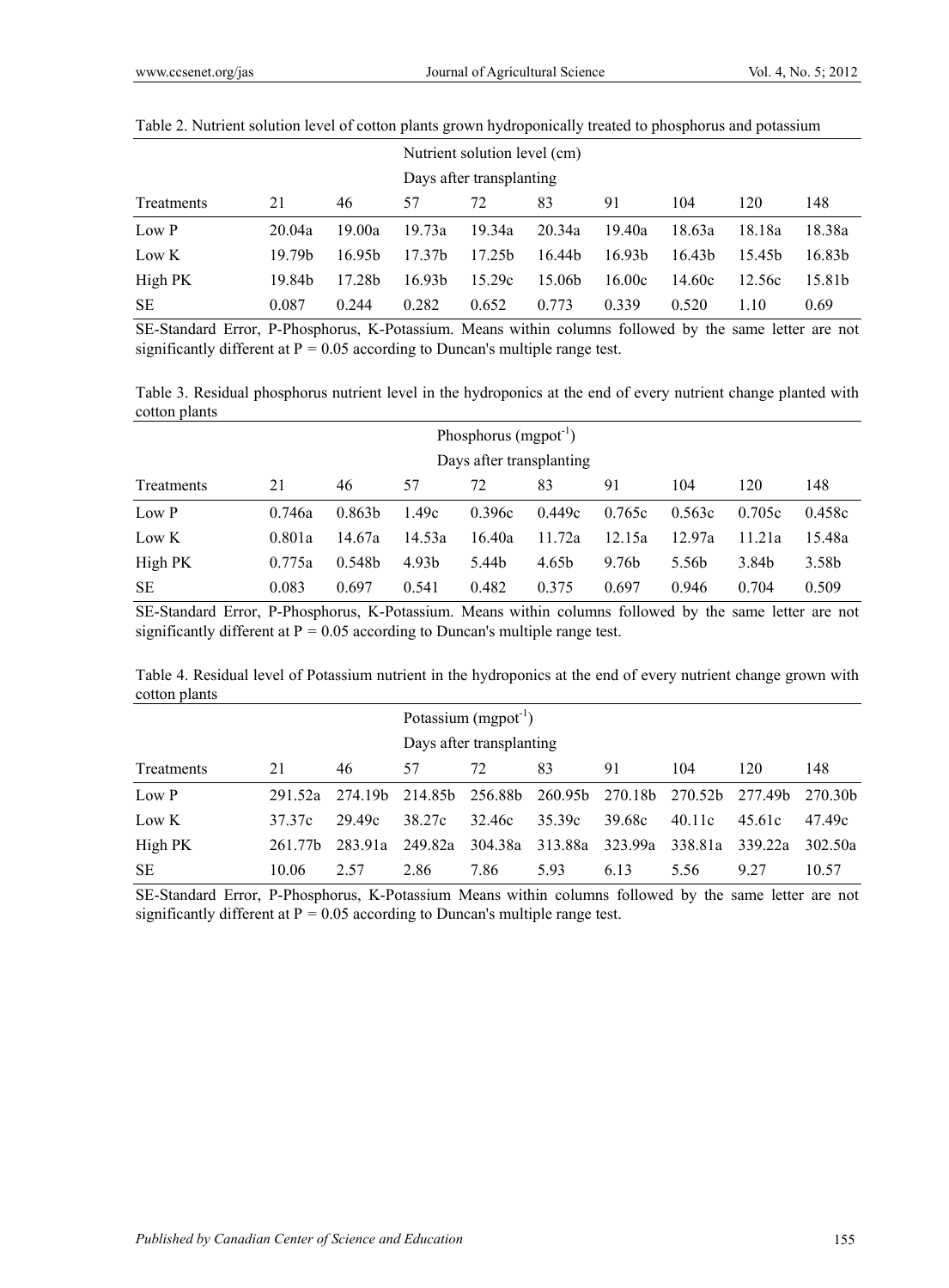|            |                    |                    | Nutrient solution level (cm) |                          |                    |                    |                    |                    |                    |  |
|------------|--------------------|--------------------|------------------------------|--------------------------|--------------------|--------------------|--------------------|--------------------|--------------------|--|
|            |                    |                    |                              | Days after transplanting |                    |                    |                    |                    |                    |  |
| Treatments | 21                 | 46                 | 57                           | 72                       | 83                 | 91                 | 104                | 120                | 148                |  |
| Low P      | 20.04a             | 19.00a             | 19.73a                       | 19.34a                   | 20.34a             | 19.40a             | 18.63a             | 18.18a             | 18.38a             |  |
| Low K      | 19.79 <sub>b</sub> | 16.95 <sub>b</sub> | 17.37 <sub>b</sub>           | 17.25 <sub>b</sub>       | 16.44b             | 16.93 <sub>b</sub> | 16.43 <sub>b</sub> | 15.45 <sub>b</sub> | 16.83 <sub>b</sub> |  |
| High PK    | 19.84b             | 17.28b             | 16.93 <sub>b</sub>           | 15.29c                   | 15.06 <sub>b</sub> | 16.00c             | 14.60c             | 12.56c             | 15.81b             |  |
| <b>SE</b>  | 0.087              | 0.244              | 0.282                        | 0.652                    | 0.773              | 0.339              | 0.520              | 1.10               | 0.69               |  |

## Table 2. Nutrient solution level of cotton plants grown hydroponically treated to phosphorus and potassium

SE-Standard Error, P-Phosphorus, K-Potassium. Means within columns followed by the same letter are not significantly different at  $P = 0.05$  according to Duncan's multiple range test.

Table 3. Residual phosphorus nutrient level in the hydroponics at the end of every nutrient change planted with cotton plants

| Phosphorus $(mspot^{-1})$ |        |                    |        |        |        |                   |        |        |        |
|---------------------------|--------|--------------------|--------|--------|--------|-------------------|--------|--------|--------|
| Days after transplanting  |        |                    |        |        |        |                   |        |        |        |
| Treatments                | 21     | 46                 | 57     | 72     | 83     | 91                | 104    | 120    | 148    |
| Low P                     | 0.746a | 0.863 <sub>b</sub> | 1.49c  | 0.396c | 0.449c | 0.765c            | 0.563c | 0.705c | 0.458c |
| Low K                     | 0.801a | 14.67a             | 14.53a | 16.40a | 11.72a | 12.15a            | 12.97a | 11.21a | 15.48a |
| High PK                   | 0.775a | 0.548b             | 4.93b  | 5.44b  | 4.65b  | 9.76 <sub>b</sub> | 5.56b  | 3.84b  | 3.58b  |
| <b>SE</b>                 | 0.083  | 0.697              | 0.541  | 0.482  | 0.375  | 0.697             | 0.946  | 0.704  | 0.509  |

SE-Standard Error, P-Phosphorus, K-Potassium. Means within columns followed by the same letter are not significantly different at P *=* 0.05 according to Duncan's multiple range test.

Table 4. Residual level of Potassium nutrient in the hydroponics at the end of every nutrient change grown with cotton plants

|            |                     |         | Potassium $(mspot-1)$    |         |         |         |         |         |                     |  |
|------------|---------------------|---------|--------------------------|---------|---------|---------|---------|---------|---------------------|--|
|            |                     |         | Days after transplanting |         |         |         |         |         |                     |  |
| Treatments | 21                  | 46      | 57                       | 72      | 83      | 91      | 104     | 120     | 148                 |  |
| Low P      | 291 52a             | 274.19b | 214.85b 256.88b          |         | 260.95b | 270.18b | 270.52b | 277.49b | 270.30 <sub>b</sub> |  |
| Low K      | 37.37c              | 29.49c  | 38.27c                   | 32.46c  | 35.39c  | 39.68c  | 40.11c  | 45.61c  | 47.49c              |  |
| High PK    | 261 77 <sub>h</sub> | 283 91a | 249.82a                  | 304.38a | 313.88a | 323.99a | 338.81a | 339 22a | 302.50a             |  |
| <b>SE</b>  | 10.06               | 2.57    | 2.86                     | 7.86    | 5.93    | 6.13    | 5.56    | 9 27    | 10.57               |  |

SE-Standard Error, P-Phosphorus, K-Potassium Means within columns followed by the same letter are not significantly different at  $P = 0.05$  according to Duncan's multiple range test.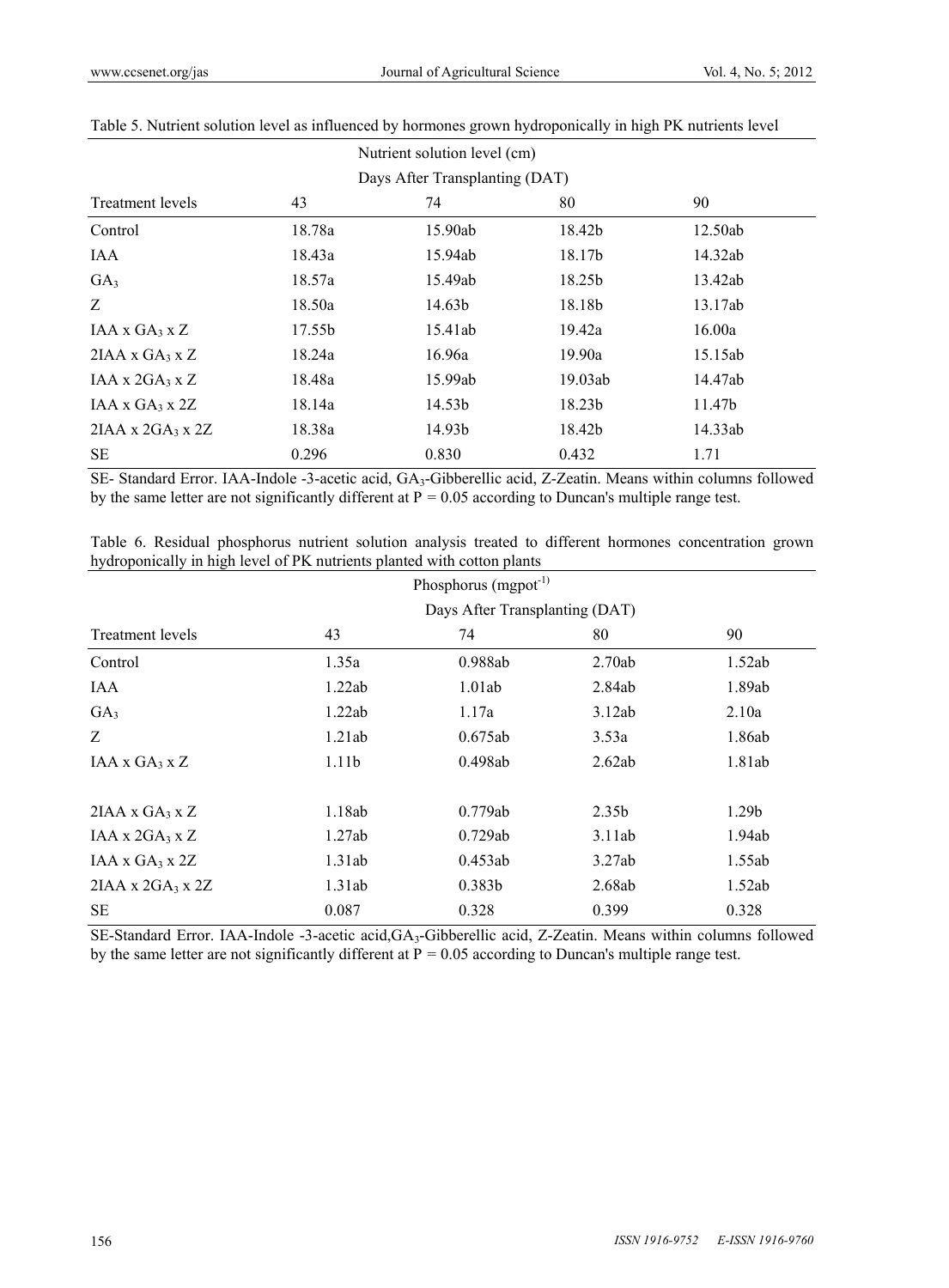| Nutrient solution level (cm)  |        |                                |         |         |  |  |  |  |  |
|-------------------------------|--------|--------------------------------|---------|---------|--|--|--|--|--|
|                               |        | Days After Transplanting (DAT) |         |         |  |  |  |  |  |
| <b>Treatment levels</b>       | 43     | 74                             | 80      | 90      |  |  |  |  |  |
| Control                       | 18.78a | 15.90ab                        | 18.42b  | 12.50ab |  |  |  |  |  |
| IAA                           | 18.43a | 15.94ab                        | 18.17b  | 14.32ab |  |  |  |  |  |
| GA <sub>3</sub>               | 18.57a | 15.49ab                        | 18.25b  | 13.42ab |  |  |  |  |  |
| Z                             | 18.50a | 14.63b                         | 18.18b  | 13.17ab |  |  |  |  |  |
| IAA x $GA_3$ x Z              | 17.55b | 15.41ab                        | 19.42a  | 16.00a  |  |  |  |  |  |
| $2IAA \times GA_3 \times Z$   | 18.24a | 16.96a                         | 19.90a  | 15.15ab |  |  |  |  |  |
| IAA x $2GA_3$ x Z             | 18.48a | 15.99ab                        | 19.03ab | 14.47ab |  |  |  |  |  |
| $IAA \times GA_3 \times 2Z$   | 18.14a | 14.53b                         | 18.23b  | 11.47b  |  |  |  |  |  |
| $2IAA \times 2GA_3 \times 2Z$ | 18.38a | 14.93b                         | 18.42b  | 14.33ab |  |  |  |  |  |
| SE                            | 0.296  | 0.830                          | 0.432   | 1.71    |  |  |  |  |  |

## Table 5. Nutrient solution level as influenced by hormones grown hydroponically in high PK nutrients level

SE- Standard Error. IAA-Indole -3-acetic acid, GA<sub>3</sub>-Gibberellic acid, Z-Zeatin. Means within columns followed by the same letter are not significantly different at P *=* 0.05 according to Duncan's multiple range test.

|                                                                         |  |  |  |  |  |  |  |  |  | Table 6. Residual phosphorus nutrient solution analysis treated to different hormones concentration grown |  |
|-------------------------------------------------------------------------|--|--|--|--|--|--|--|--|--|-----------------------------------------------------------------------------------------------------------|--|
| hydroponically in high level of PK nutrients planted with cotton plants |  |  |  |  |  |  |  |  |  |                                                                                                           |  |

|                               |                   | Phosphorus $(mspot-1)$ |        |                   |  |  |  |
|-------------------------------|-------------------|------------------------|--------|-------------------|--|--|--|
|                               |                   |                        |        |                   |  |  |  |
| <b>Treatment levels</b>       | 43                | 74                     | 80     | 90                |  |  |  |
| Control                       | 1.35a             | 0.988ab                | 2.70ab | 1.52ab            |  |  |  |
| IAA                           | 1.22ab            | 1.01ab                 | 2.84ab | 1.89ab            |  |  |  |
| GA <sub>3</sub>               | 1.22ab            | 1.17a                  | 3.12ab | 2.10a             |  |  |  |
| Z                             | 1.21ab            | 0.675ab                | 3.53a  | 1.86ab            |  |  |  |
| $IAA \times GA_3 \times Z$    | 1.11 <sub>b</sub> | 0.498ab                | 2.62ab | 1.81ab            |  |  |  |
| $2IAA \times GA_3 \times Z$   | 1.18ab            | 0.779ab                | 2.35b  | 1.29 <sub>b</sub> |  |  |  |
| IAA x $2GA_3$ x Z             | 1.27ab            | 0.729ab                | 3.11ab | 1.94ab            |  |  |  |
| IAA x $GA_3$ x 2Z             | 1.31ab            | 0.453ab                | 3.27ab | 1.55ab            |  |  |  |
| $2IAA \times 2GA_3 \times 2Z$ | 1.31ab            | 0.383b                 | 2.68ab | 1.52ab            |  |  |  |
| SЕ                            | 0.087             | 0.328                  | 0.399  | 0.328             |  |  |  |

SE-Standard Error. IAA-Indole -3-acetic acid,GA3-Gibberellic acid, Z-Zeatin. Means within columns followed by the same letter are not significantly different at P *=* 0.05 according to Duncan's multiple range test.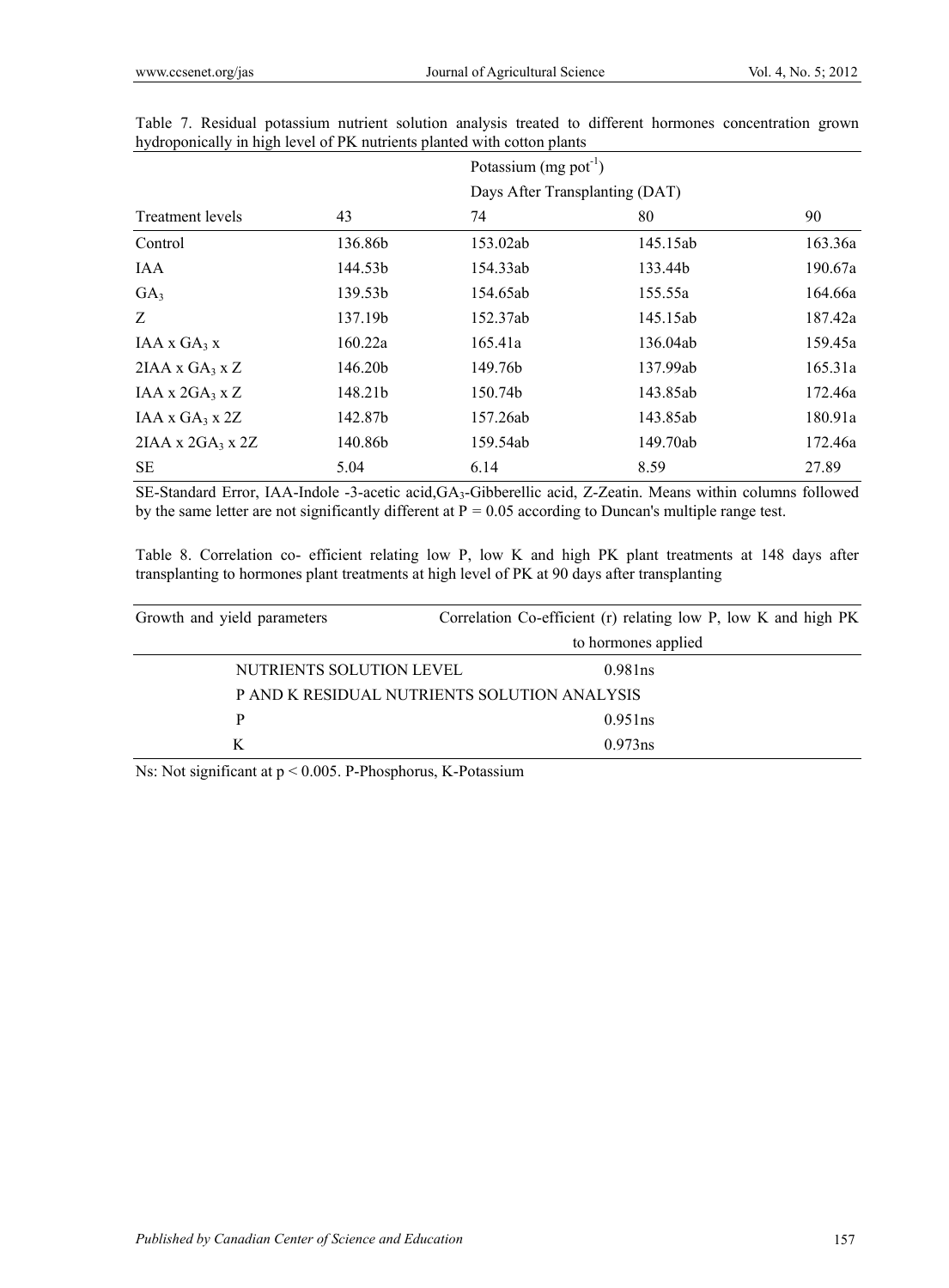|                               |         |          | Potassium $(mg$ pot <sup>-1</sup> )<br>Days After Transplanting (DAT) |         |  |  |  |
|-------------------------------|---------|----------|-----------------------------------------------------------------------|---------|--|--|--|
|                               |         |          |                                                                       |         |  |  |  |
| Treatment levels              | 43      | 74       | 80                                                                    | 90      |  |  |  |
| Control                       | 136.86b | 153.02ab | 145.15ab                                                              | 163.36a |  |  |  |
| IAA                           | 144.53b | 154.33ab | 133.44b                                                               | 190.67a |  |  |  |
| GA <sub>3</sub>               | 139.53b | 154.65ab | 155.55a                                                               | 164.66a |  |  |  |
| Z                             | 137.19b | 152.37ab | 145.15ab                                                              | 187.42a |  |  |  |
| $IAA \times GA_3 \times$      | 160.22a | 165.41a  | 136.04ab                                                              | 159.45a |  |  |  |
| $2IAA \times GA_3 \times Z$   | 146.20b | 149.76b  | 137.99ab                                                              | 165.31a |  |  |  |
| $IAA \times 2GA_3 \times Z$   | 148.21b | 150.74b  | 143.85ab                                                              | 172.46a |  |  |  |
| IAA x $GA_3$ x 2Z             | 142.87b | 157.26ab | 143.85ab                                                              | 180.91a |  |  |  |
| $2IAA \times 2GA_3 \times 2Z$ | 140.86b | 159.54ab | 149.70ab                                                              | 172.46a |  |  |  |
| <b>SE</b>                     | 5.04    | 6.14     | 8.59                                                                  | 27.89   |  |  |  |

Table 7. Residual potassium nutrient solution analysis treated to different hormones concentration grown hydroponically in high level of PK nutrients planted with cotton plants

SE-Standard Error, IAA-Indole -3-acetic acid,GA3-Gibberellic acid, Z-Zeatin. Means within columns followed by the same letter are not significantly different at P *=* 0.05 according to Duncan's multiple range test.

Table 8. Correlation co- efficient relating low P, low K and high PK plant treatments at 148 days after transplanting to hormones plant treatments at high level of PK at 90 days after transplanting

| Growth and yield parameters | Correlation Co-efficient (r) relating low P, low K and high PK |  |
|-----------------------------|----------------------------------------------------------------|--|
|                             | to hormones applied                                            |  |
| NUTRIENTS SOLUTION LEVEL    | 0.981 <sub>ns</sub>                                            |  |
|                             | P AND K RESIDUAL NUTRIENTS SOLUTION ANALYSIS                   |  |
| Р                           | 0.951ns                                                        |  |
| K                           | 0.973ns                                                        |  |

Ns: Not significant at p < 0.005. P-Phosphorus, K-Potassium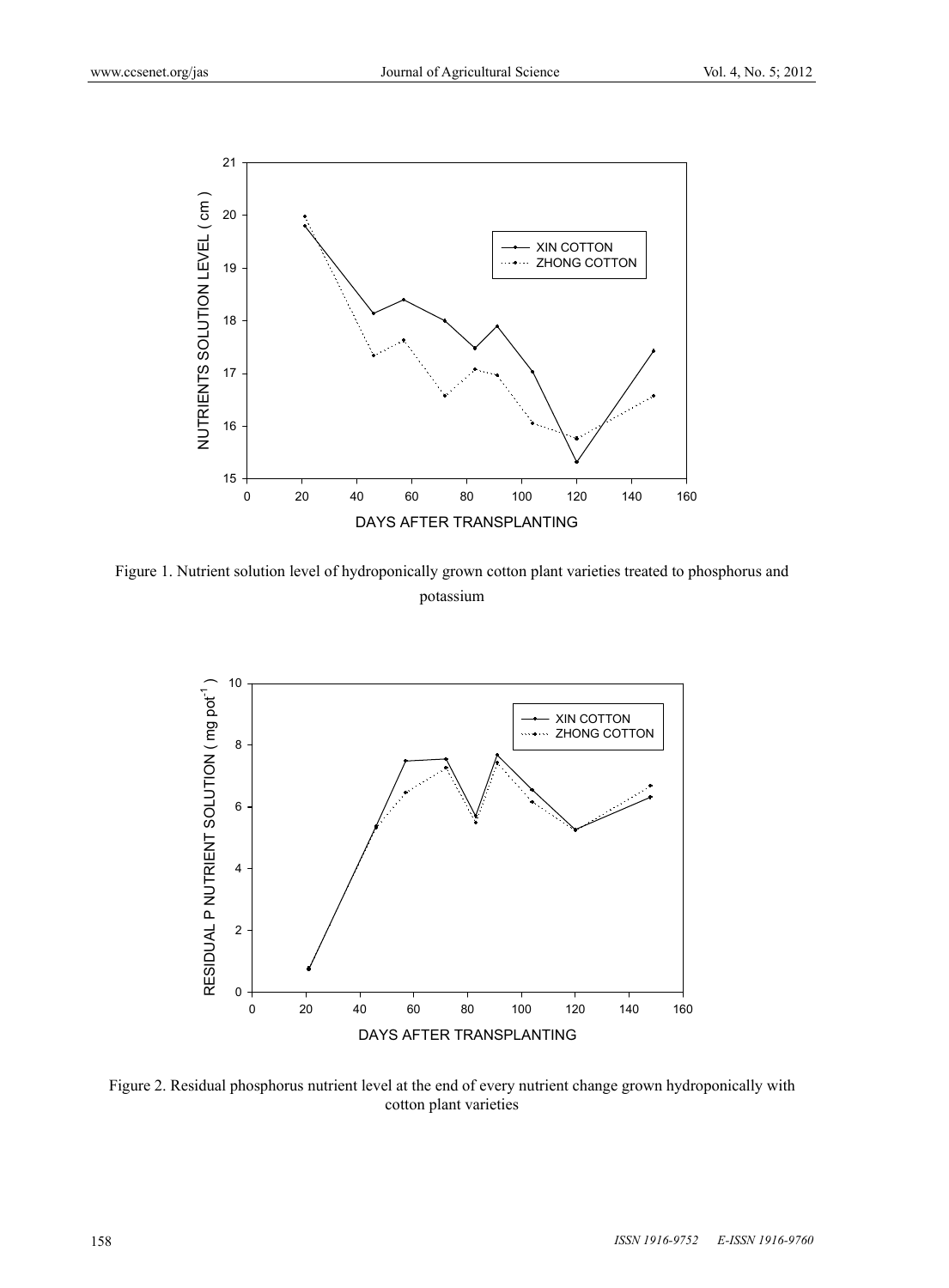

Figure 1. Nutrient solution level of hydroponically grown cotton plant varieties treated to phosphorus and potassium



Figure 2. Residual phosphorus nutrient level at the end of every nutrient change grown hydroponically with cotton plant varieties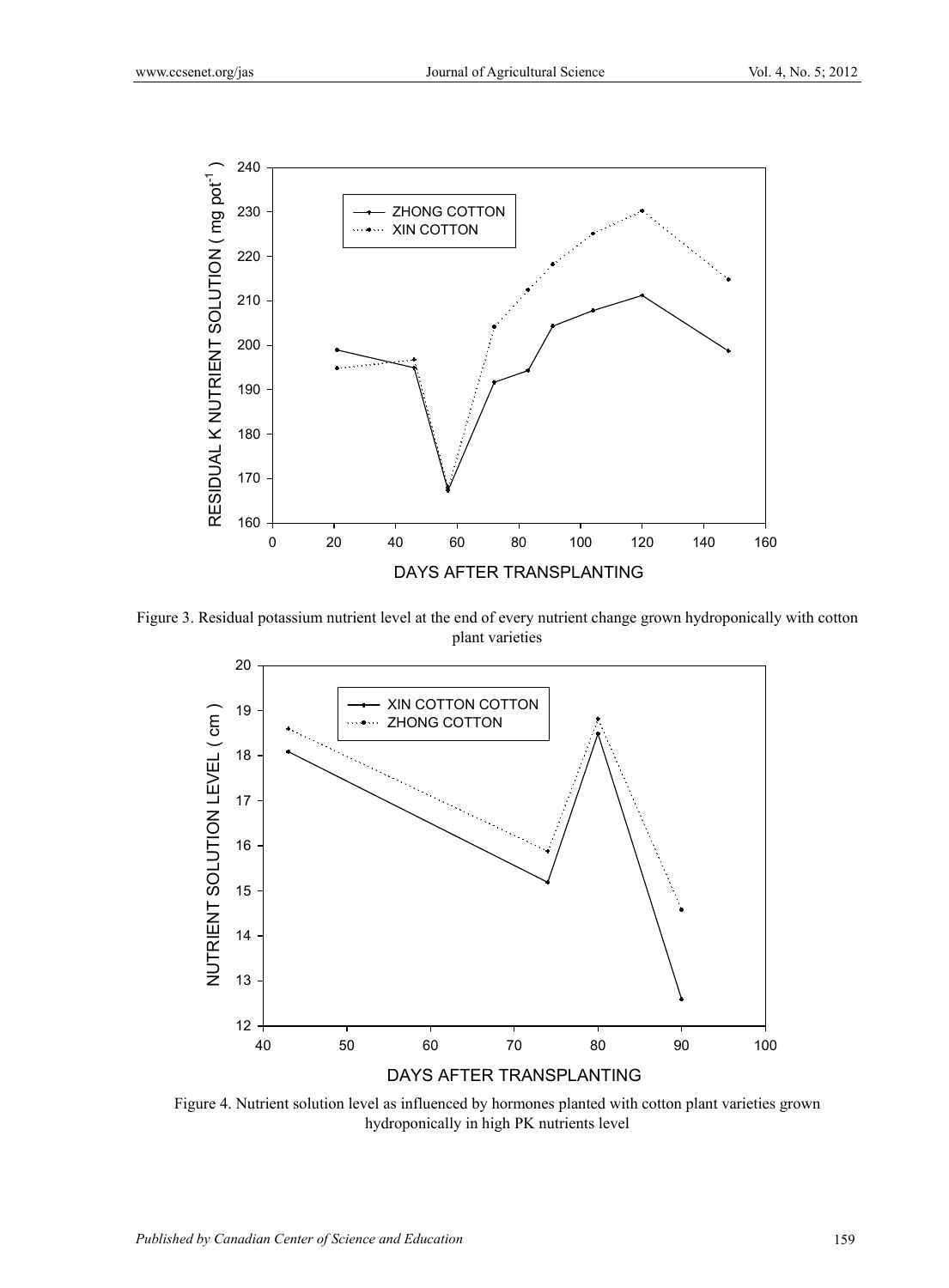

Figure 3. Residual potassium nutrient level at the end of every nutrient change grown hydroponically with cotton plant varieties



Figure 4. Nutrient solution level as influenced by hormones planted with cotton plant varieties grown hydroponically in high PK nutrients level